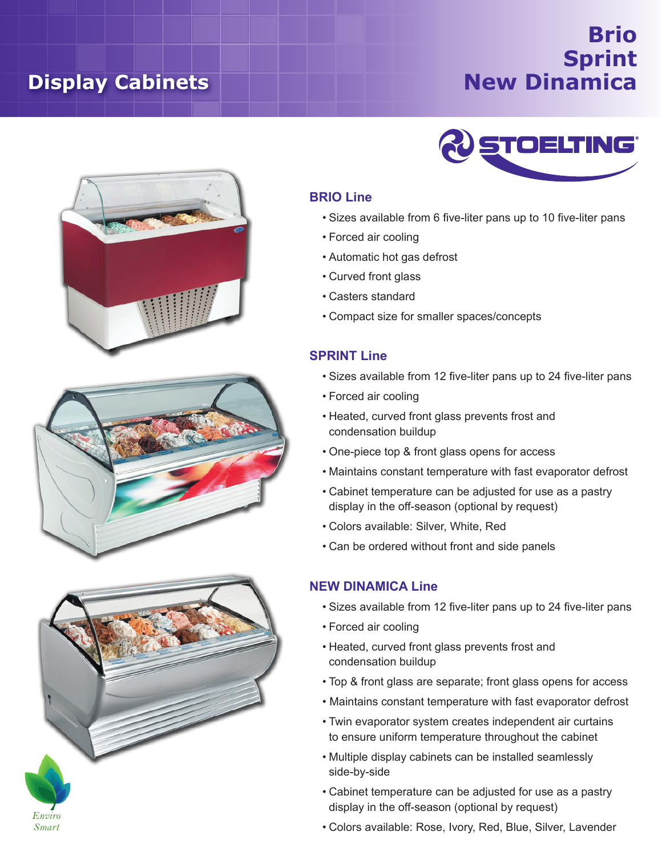# **Display Cabinets**

## **Brio Sprint New Dinamica**









### **BRIO Line**

- • Sizes available from 6 five-liter pans up to 10 five-liter pans
- • Forced air cooling
- • Automatic hot gas defrost
- • Curved front glass
- • Casters standard
- • Compact size for smaller spaces/concepts

#### **SPRINT Line**

- • Sizes available from 12 five-liter pans up to 24 five-liter pans
- • Forced air cooling
- • Heated, curved front glass prevents frost and condensation buildup
- • One-piece top & front glass opens for access
- • Maintains constant temperature with fast evaporator defrost
- • Cabinet temperature can be adjusted for use as a pastry display in the off-season (optional by request)
- • Colors available: Silver, White, Red
- • Can be ordered without front and side panels

#### **NEW DINAMICA Line**

- • Sizes available from 12 five-liter pans up to 24 five-liter pans
- • Forced air cooling
- • Heated, curved front glass prevents frost and condensation buildup
- Top & front glass are separate; front glass opens for access
- Maintains constant temperature with fast evaporator defrost
- Twin evaporator system creates independent air curtains to ensure uniform temperature throughout the cabinet
- • Multiple display cabinets can be installed seamlessly side-by-side
- • Cabinet temperature can be adjusted for use as a pastry display in the off-season (optional by request)
- • Colors available: Rose, Ivory, Red, Blue, Silver, Lavender